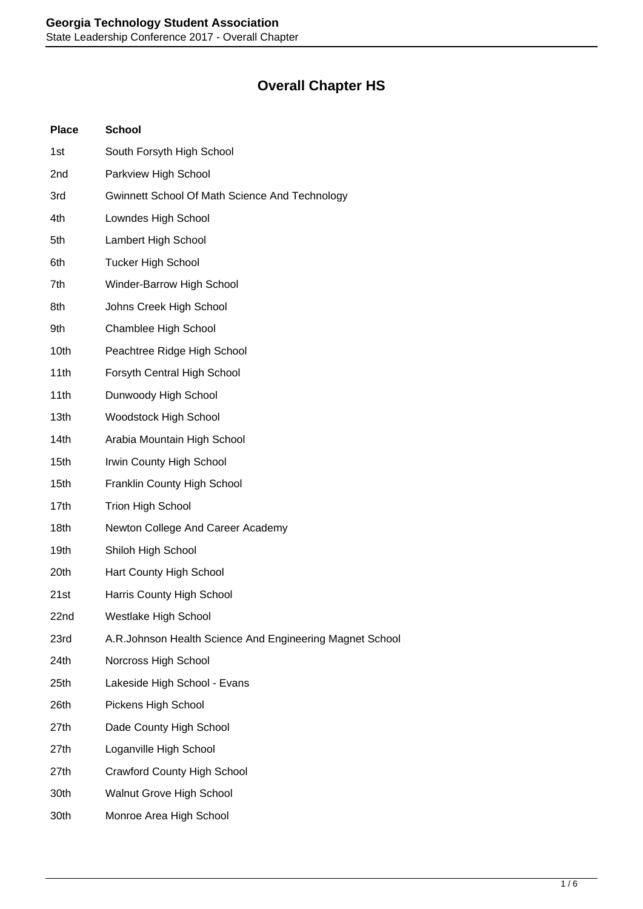## **Overall Chapter HS**

| <b>Place</b> | <b>School</b>                                            |
|--------------|----------------------------------------------------------|
| 1st          | South Forsyth High School                                |
| 2nd          | Parkview High School                                     |
| 3rd          | Gwinnett School Of Math Science And Technology           |
| 4th          | Lowndes High School                                      |
| 5th          | Lambert High School                                      |
| 6th          | <b>Tucker High School</b>                                |
| 7th          | Winder-Barrow High School                                |
| 8th          | Johns Creek High School                                  |
| 9th          | Chamblee High School                                     |
| 10th         | Peachtree Ridge High School                              |
| 11th         | Forsyth Central High School                              |
| 11th         | Dunwoody High School                                     |
| 13th         | <b>Woodstock High School</b>                             |
| 14th         | Arabia Mountain High School                              |
| 15th         | Irwin County High School                                 |
| 15th         | Franklin County High School                              |
| 17th         | <b>Trion High School</b>                                 |
| 18th         | Newton College And Career Academy                        |
| 19th         | Shiloh High School                                       |
| 20th         | Hart County High School                                  |
| 21st         | Harris County High School                                |
| 22nd         | Westlake High School                                     |
| 23rd         | A.R.Johnson Health Science And Engineering Magnet School |
| 24th         | Norcross High School                                     |
| 25th         | Lakeside High School - Evans                             |
| 26th         | Pickens High School                                      |
| 27th         | Dade County High School                                  |
| 27th         | Loganville High School                                   |
| 27th         | <b>Crawford County High School</b>                       |
| 30th         | <b>Walnut Grove High School</b>                          |
| 30th         | Monroe Area High School                                  |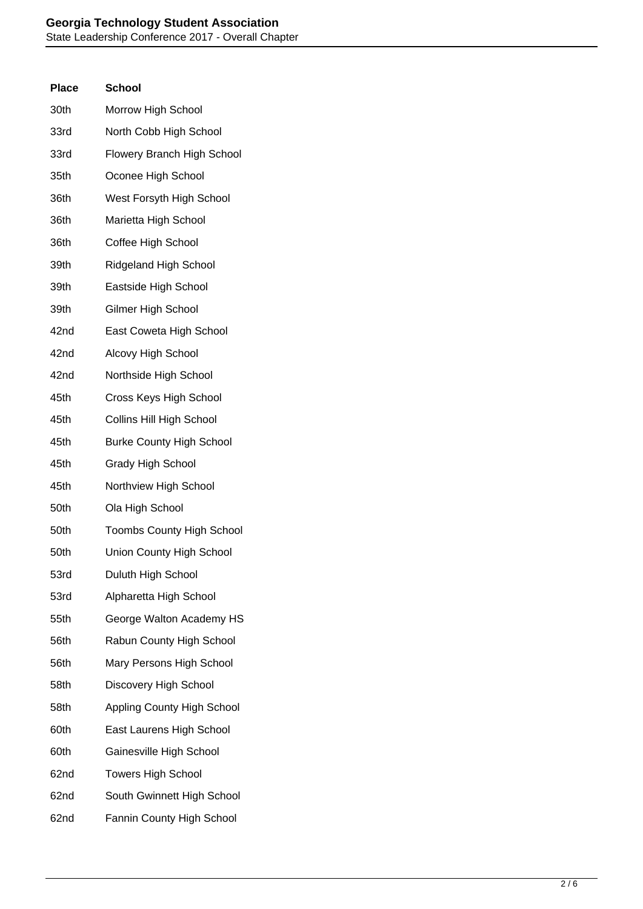| <b>Place</b> | School                            |
|--------------|-----------------------------------|
| 30th         | Morrow High School                |
| 33rd         | North Cobb High School            |
| 33rd         | <b>Flowery Branch High School</b> |
| 35th         | Oconee High School                |
| 36th         | West Forsyth High School          |
| 36th         | Marietta High School              |
| 36th         | Coffee High School                |
| 39th         | <b>Ridgeland High School</b>      |
| 39th         | Eastside High School              |
| 39th         | Gilmer High School                |
| 42nd         | East Coweta High School           |
| 42nd         | Alcovy High School                |
| 42nd         | Northside High School             |
| 45th         | Cross Keys High School            |
| 45th         | <b>Collins Hill High School</b>   |
| 45th         | <b>Burke County High School</b>   |
| 45th         | Grady High School                 |
| 45th         | Northview High School             |
| 50th         | Ola High School                   |
| 50th         | <b>Toombs County High School</b>  |
| 50th         | Union County High School          |
| 53rd         | Duluth High School                |
| 53rd         | Alpharetta High School            |
| 55th         | George Walton Academy HS          |
| 56th         | Rabun County High School          |
| 56th         | Mary Persons High School          |
| 58th         | Discovery High School             |
| 58th         | <b>Appling County High School</b> |
| 60th         | East Laurens High School          |
| 60th         | Gainesville High School           |
| 62nd         | <b>Towers High School</b>         |
| 62nd         | South Gwinnett High School        |
| 62nd         | Fannin County High School         |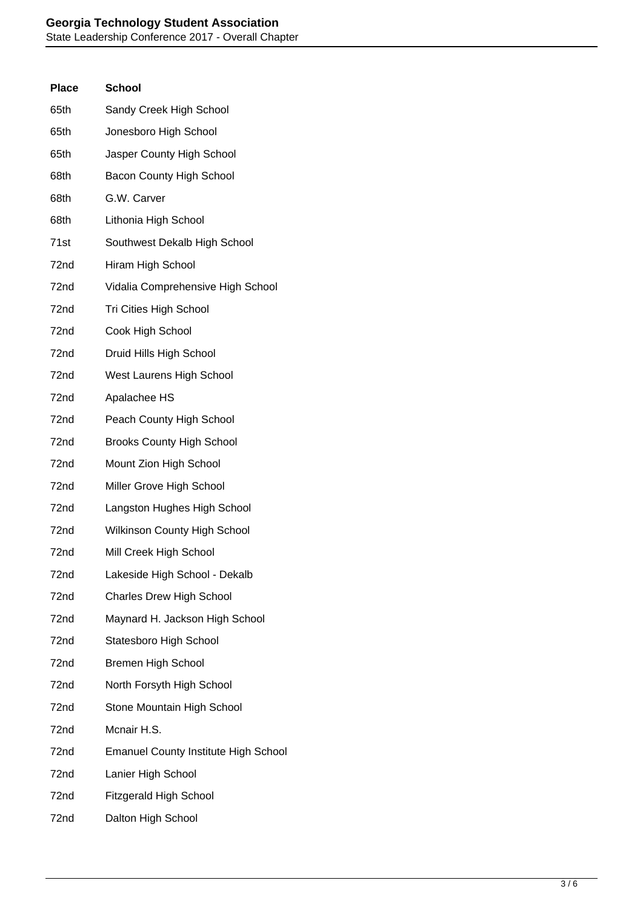| <b>Place</b> | <b>School</b>                               |
|--------------|---------------------------------------------|
| 65th         | Sandy Creek High School                     |
| 65th         | Jonesboro High School                       |
| 65th         | Jasper County High School                   |
| 68th         | Bacon County High School                    |
| 68th         | G.W. Carver                                 |
| 68th         | Lithonia High School                        |
| 71st         | Southwest Dekalb High School                |
| 72nd         | Hiram High School                           |
| 72nd         | Vidalia Comprehensive High School           |
| 72nd         | Tri Cities High School                      |
| 72nd         | Cook High School                            |
| 72nd         | Druid Hills High School                     |
| 72nd         | West Laurens High School                    |
| 72nd         | Apalachee HS                                |
| 72nd         | Peach County High School                    |
| 72nd         | <b>Brooks County High School</b>            |
| 72nd         | Mount Zion High School                      |
| 72nd         | Miller Grove High School                    |
| 72nd         | Langston Hughes High School                 |
| 72nd         | <b>Wilkinson County High School</b>         |
| 72nd         | Mill Creek High School                      |
| 72nd         | Lakeside High School - Dekalb               |
| 72nd         | <b>Charles Drew High School</b>             |
| 72nd         | Maynard H. Jackson High School              |
| 72nd         | Statesboro High School                      |
| 72nd         | <b>Bremen High School</b>                   |
| 72nd         | North Forsyth High School                   |
| 72nd         | Stone Mountain High School                  |
| 72nd         | Mcnair H.S.                                 |
| 72nd         | <b>Emanuel County Institute High School</b> |
| 72nd         | Lanier High School                          |
| 72nd         | <b>Fitzgerald High School</b>               |
| 72nd         | Dalton High School                          |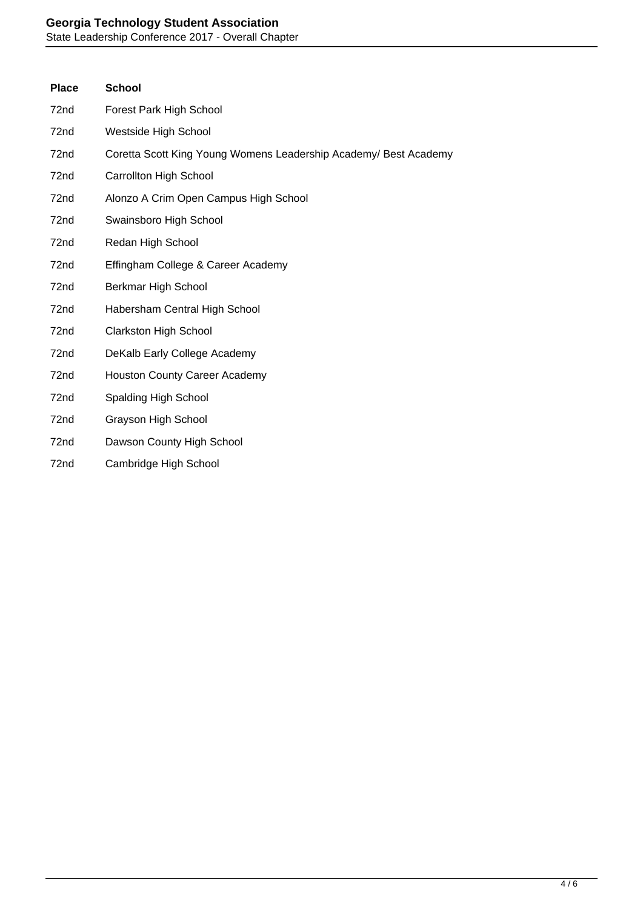## **Georgia Technology Student Association**

State Leadership Conference 2017 - Overall Chapter

| <b>Place</b>     | <b>School</b>                                                    |
|------------------|------------------------------------------------------------------|
| 72nd             | Forest Park High School                                          |
| 72nd             | Westside High School                                             |
| 72nd             | Coretta Scott King Young Womens Leadership Academy/ Best Academy |
| 72nd             | <b>Carrollton High School</b>                                    |
| 72nd             | Alonzo A Crim Open Campus High School                            |
| 72nd             | Swainsboro High School                                           |
| 72nd             | Redan High School                                                |
| 72nd             | Effingham College & Career Academy                               |
| 72nd             | Berkmar High School                                              |
| 72nd             | Habersham Central High School                                    |
| 72 <sub>nd</sub> | <b>Clarkston High School</b>                                     |
| 72nd             | DeKalb Early College Academy                                     |
| 72nd             | <b>Houston County Career Academy</b>                             |
| 72nd             | Spalding High School                                             |
| 72nd             | Grayson High School                                              |
| 72nd             | Dawson County High School                                        |
| 72nd             | Cambridge High School                                            |
|                  |                                                                  |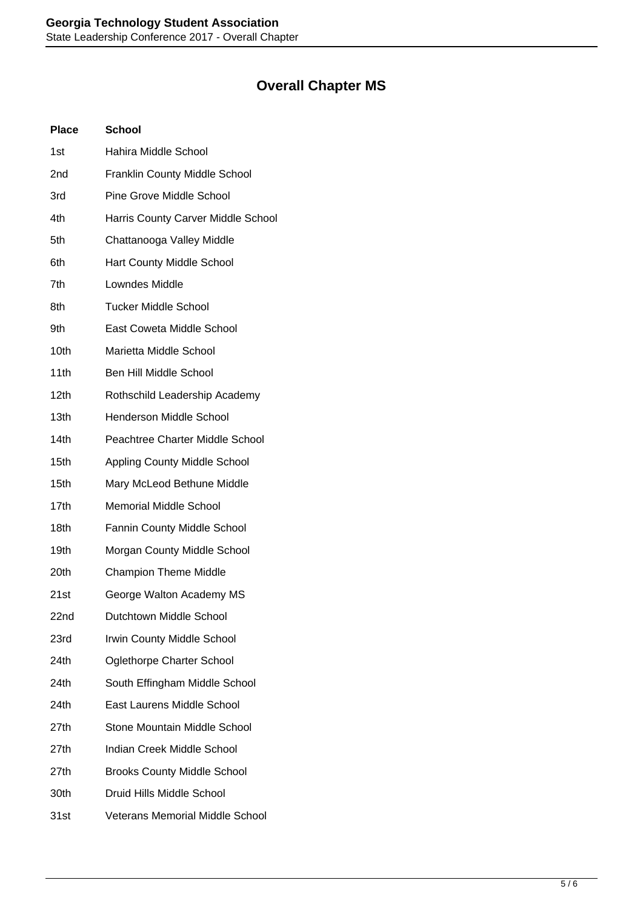## **Overall Chapter MS**

| <b>Place</b> | <b>School</b>                          |
|--------------|----------------------------------------|
| 1st          | Hahira Middle School                   |
| 2nd          | <b>Franklin County Middle School</b>   |
| 3rd          | <b>Pine Grove Middle School</b>        |
| 4th          | Harris County Carver Middle School     |
| 5th          | Chattanooga Valley Middle              |
| 6th          | <b>Hart County Middle School</b>       |
| 7th          | Lowndes Middle                         |
| 8th          | <b>Tucker Middle School</b>            |
| 9th          | East Coweta Middle School              |
| 10th         | Marietta Middle School                 |
| 11th         | Ben Hill Middle School                 |
| 12th         | Rothschild Leadership Academy          |
| 13th         | <b>Henderson Middle School</b>         |
| 14th         | Peachtree Charter Middle School        |
| 15th         | <b>Appling County Middle School</b>    |
| 15th         | Mary McLeod Bethune Middle             |
| 17th         | <b>Memorial Middle School</b>          |
| 18th         | <b>Fannin County Middle School</b>     |
| 19th         | Morgan County Middle School            |
| 20th         | <b>Champion Theme Middle</b>           |
| 21st         | George Walton Academy MS               |
| 22nd         | Dutchtown Middle School                |
| 23rd         | Irwin County Middle School             |
| 24th         | <b>Oglethorpe Charter School</b>       |
| 24th         | South Effingham Middle School          |
| 24th         | East Laurens Middle School             |
| 27th         | Stone Mountain Middle School           |
| 27th         | Indian Creek Middle School             |
| 27th         | <b>Brooks County Middle School</b>     |
| 30th         | Druid Hills Middle School              |
| 31st         | <b>Veterans Memorial Middle School</b> |